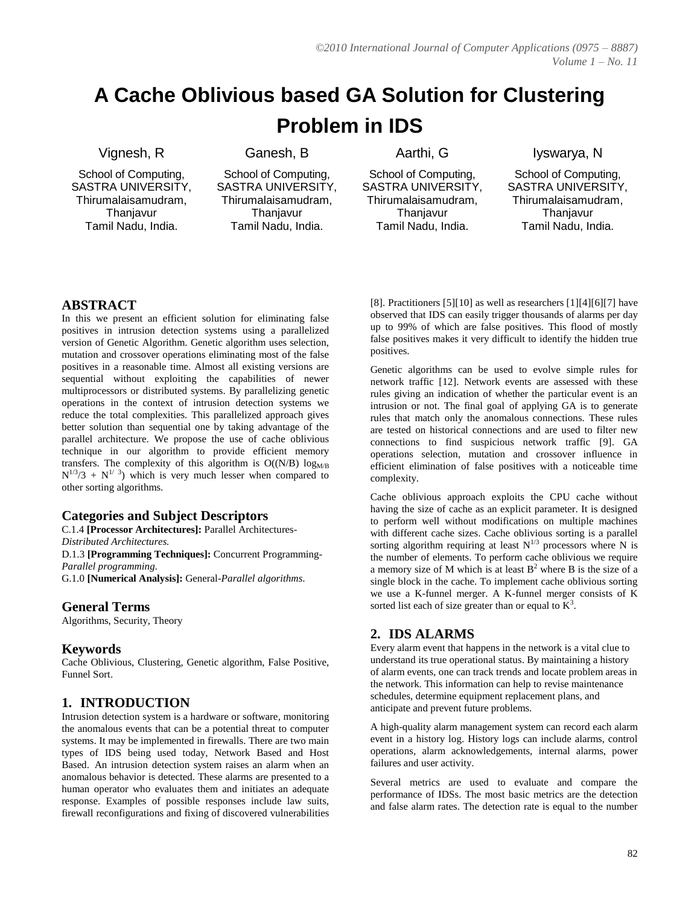# **A Cache Oblivious based GA Solution for Clustering Problem in IDS**

#### Vignesh, R

School of Computing, SASTRA UNIVERSITY, Thirumalaisamudram, **Thanjavur** Tamil Nadu, India.

Ganesh, B

School of Computing, SASTRA UNIVERSITY, Thirumalaisamudram, **Thanjavur** Tamil Nadu, India.

Aarthi, G

School of Computing, SASTRA UNIVERSITY, Thirumalaisamudram, **Thanjavur** Tamil Nadu, India.

Iyswarya, N

School of Computing, SASTRA UNIVERSITY, Thirumalaisamudram, **Thanjavur** Tamil Nadu, India.

# **ABSTRACT**

In this we present an efficient solution for eliminating false positives in intrusion detection systems using a parallelized version of Genetic Algorithm. Genetic algorithm uses selection, mutation and crossover operations eliminating most of the false positives in a reasonable time. Almost all existing versions are sequential without exploiting the capabilities of newer multiprocessors or distributed systems. By parallelizing genetic operations in the context of intrusion detection systems we reduce the total complexities. This parallelized approach gives better solution than sequential one by taking advantage of the parallel architecture. We propose the use of cache oblivious technique in our algorithm to provide efficient memory transfers. The complexity of this algorithm is  $O((N/B) \log_{MR}$  $N^{1/3}/3 + N^{1/3}$ ) which is very much lesser when compared to other sorting algorithms.

# **Categories and Subject Descriptors**

C.1.4 **[Processor Architectures]:** Parallel Architectures-*Distributed Architectures.*

D.1.3 **[Programming Techniques]:** Concurrent Programming-*Parallel programming.*

G.1.0 **[Numerical Analysis]:** General-*Parallel algorithms*.

#### **General Terms**

Algorithms, Security, Theory

#### **Keywords**

Cache Oblivious, Clustering, Genetic algorithm, False Positive, Funnel Sort.

# **1. INTRODUCTION**

Intrusion detection system is a hardware or software, monitoring the anomalous events that can be a potential threat to computer systems. It may be implemented in firewalls. There are two main types of IDS being used today, Network Based and Host Based. An intrusion detection system raises an alarm when an anomalous behavior is detected. These alarms are presented to a human operator who evaluates them and initiates an adequate response. Examples of possible responses include law suits, firewall reconfigurations and fixing of discovered vulnerabilities [8]. Practitioners [5][10] as well as researchers [1][4][6][7] have observed that IDS can easily trigger thousands of alarms per day up to 99% of which are false positives. This flood of mostly false positives makes it very difficult to identify the hidden true positives.

Genetic algorithms can be used to evolve simple rules for network traffic [12]. Network events are assessed with these rules giving an indication of whether the particular event is an intrusion or not. The final goal of applying GA is to generate rules that match only the anomalous connections. These rules are tested on historical connections and are used to filter new connections to find suspicious network traffic [9]. GA operations selection, mutation and crossover influence in efficient elimination of false positives with a noticeable time complexity.

Cache oblivious approach exploits the CPU cache without having the size of cache as an explicit parameter. It is designed to perform well without modifications on multiple machines with different cache sizes. Cache oblivious sorting is a parallel sorting algorithm requiring at least  $N^{1/3}$  processors where N is the number of elements. To perform cache oblivious we require a memory size of M which is at least  $B<sup>2</sup>$  where B is the size of a single block in the cache. To implement cache oblivious sorting we use a K-funnel merger. A K-funnel merger consists of K sorted list each of size greater than or equal to  $K^3$ .

# **2. IDS ALARMS**

Every alarm event that happens in the network is a vital clue to understand its true operational status. By maintaining a history of alarm events, one can track trends and locate problem areas in the network. This information can help to revise maintenance schedules, determine equipment replacement plans, and anticipate and prevent future problems.

A high-quality alarm management system can record each alarm event in a history log. History logs can include alarms, control operations, alarm acknowledgements, internal alarms, power failures and user activity.

Several metrics are used to evaluate and compare the performance of IDSs. The most basic metrics are the detection and false alarm rates. The detection rate is equal to the number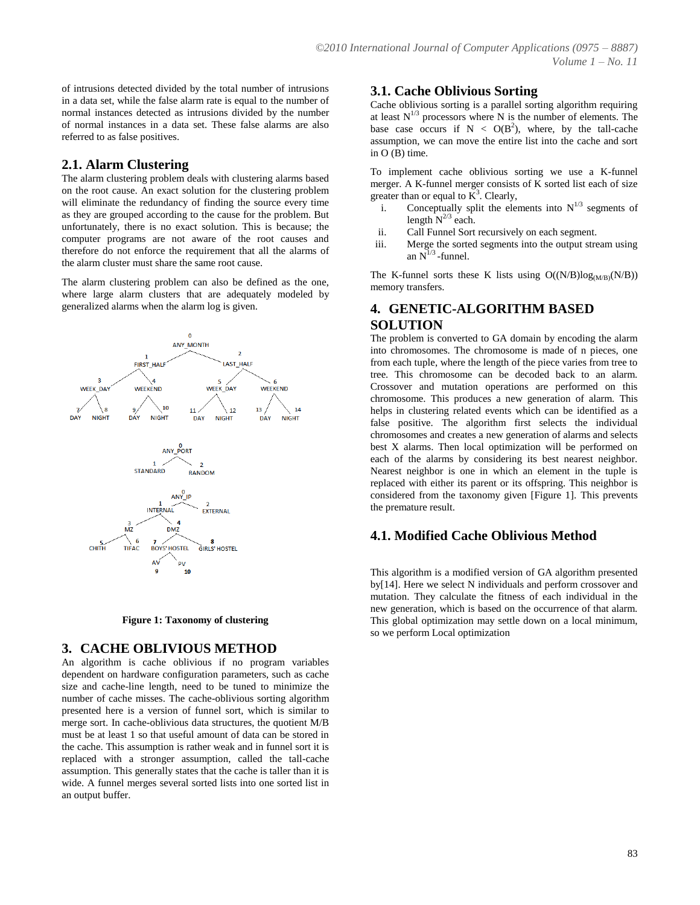of intrusions detected divided by the total number of intrusions in a data set, while the false alarm rate is equal to the number of normal instances detected as intrusions divided by the number of normal instances in a data set. These false alarms are also referred to as false positives.

### **2.1. Alarm Clustering**

The alarm clustering problem deals with clustering alarms based on the root cause. An exact solution for the clustering problem will eliminate the redundancy of finding the source every time as they are grouped according to the cause for the problem. But unfortunately, there is no exact solution. This is because; the computer programs are not aware of the root causes and therefore do not enforce the requirement that all the alarms of the alarm cluster must share the same root cause.

The alarm clustering problem can also be defined as the one, where large alarm clusters that are adequately modeled by generalized alarms when the alarm log is given.





#### **3. CACHE OBLIVIOUS METHOD**

An algorithm is cache oblivious if no program variables dependent on hardware configuration parameters, such as cache size and cache-line length, need to be tuned to minimize the number of cache misses. The cache-oblivious sorting algorithm presented here is a version of funnel sort, which is similar to merge sort. In cache-oblivious data structures, the quotient M/B must be at least 1 so that useful amount of data can be stored in the cache. This assumption is rather weak and in funnel sort it is replaced with a stronger assumption, called the tall-cache assumption. This generally states that the cache is taller than it is wide. A funnel merges several sorted lists into one sorted list in an output buffer.

#### **3.1. Cache Oblivious Sorting**

Cache oblivious sorting is a parallel sorting algorithm requiring at least  $N^{1/3}$  processors where N is the number of elements. The base case occurs if  $N < O(B^2)$ , where, by the tall-cache assumption, we can move the entire list into the cache and sort in O (B) time.

To implement cache oblivious sorting we use a K-funnel merger. A K-funnel merger consists of K sorted list each of size greater than or equal to  $K^3$ . Clearly,

- i. Conceptually split the elements into  $N^{1/3}$  segments of length  $N^{2/3}$  each.
- ii. Call Funnel Sort recursively on each segment.
- iii. Merge the sorted segments into the output stream using an  $N^{1/3}$  -funnel.

The K-funnel sorts these K lists using  $O((N/B)log_{(MB)}(N/B))$ memory transfers.

### **4. GENETIC-ALGORITHM BASED SOLUTION**

The problem is converted to GA domain by encoding the alarm into chromosomes. The chromosome is made of n pieces, one from each tuple, where the length of the piece varies from tree to tree. This chromosome can be decoded back to an alarm. Crossover and mutation operations are performed on this chromosome. This produces a new generation of alarm. This helps in clustering related events which can be identified as a false positive. The algorithm first selects the individual chromosomes and creates a new generation of alarms and selects best X alarms. Then local optimization will be performed on each of the alarms by considering its best nearest neighbor. Nearest neighbor is one in which an element in the tuple is replaced with either its parent or its offspring. This neighbor is considered from the taxonomy given [Figure 1]. This prevents the premature result.

# **4.1. Modified Cache Oblivious Method**

This algorithm is a modified version of GA algorithm presented by[14]. Here we select N individuals and perform crossover and mutation. They calculate the fitness of each individual in the new generation, which is based on the occurrence of that alarm. This global optimization may settle down on a local minimum, so we perform Local optimization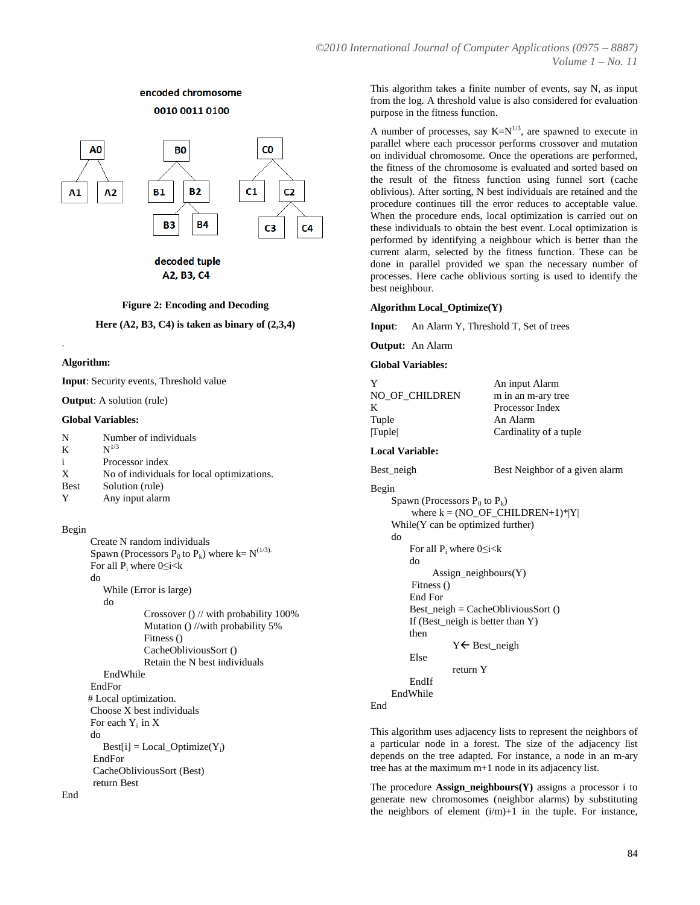# encoded chromosome 0010 0011 0100



A2, B3, C4

#### **Figure 2: Encoding and Decoding**

**Here (A2, B3, C4) is taken as binary of (2,3,4)**

#### **Algorithm:**

.

**Input**: Security events, Threshold value

**Output**: A solution (rule)

#### **Global Variables:**

| N           | Number of individuals                      |
|-------------|--------------------------------------------|
| K           | $N^{1/3}$                                  |
| i           | Processor index                            |
| X           | No of individuals for local optimizations. |
| <b>Best</b> | Solution (rule)                            |
|             | Any input alarm                            |

#### Begin

 Create N random individuals Spawn (Processors  $P_0$  to  $P_k$ ) where k= N<sup>(1/3).</sup> For all  $P_i$  where 0≤i<k do While (Error is large) do Crossover () // with probability 100% Mutation () //with probability 5% Fitness () CacheObliviousSort () Retain the N best individuals EndWhile EndFor # Local optimization. Choose X best individuals For each  $Y_i$  in  $X$  do  $\text{Best}[i] = \text{Local\_Optimize}(Y_i)$  EndFor CacheObliviousSort (Best) return Best

This algorithm takes a finite number of events, say N, as input from the log. A threshold value is also considered for evaluation purpose in the fitness function.

A number of processes, say  $K=N^{1/3}$ , are spawned to execute in parallel where each processor performs crossover and mutation on individual chromosome. Once the operations are performed, the fitness of the chromosome is evaluated and sorted based on the result of the fitness function using funnel sort (cache oblivious). After sorting, N best individuals are retained and the procedure continues till the error reduces to acceptable value. When the procedure ends, local optimization is carried out on these individuals to obtain the best event. Local optimization is performed by identifying a neighbour which is better than the current alarm, selected by the fitness function. These can be done in parallel provided we span the necessary number of processes. Here cache oblivious sorting is used to identify the best neighbour.

#### **Algorithm Local\_Optimize(Y)**

**Input**: An Alarm Y, Threshold T, Set of trees

**Output:** An Alarm

#### **Global Variables:**

| Y                                            | An input Alarm                     |
|----------------------------------------------|------------------------------------|
| NO_OF_CHILDREN                               | m in an m-ary tree                 |
| K                                            | Processor Index                    |
| Tuple                                        | An Alarm                           |
| Tuple                                        | Cardinality of a tuple             |
| <b>Local Variable:</b>                       |                                    |
| Best_neigh                                   | Best Neighbor of a given alarm     |
| Begin                                        |                                    |
| Spawn (Processors $P_0$ to $P_k$ )           |                                    |
|                                              | where $k = (NO_OF_CHILDREN+1)* Y $ |
| While $(Y \cap B)$ can be optimized further) |                                    |
| do                                           |                                    |
| For all $P_i$ where $0 \le i < k$            |                                    |
| do                                           |                                    |
| Assign_neighbours(Y)                         |                                    |
| Fitness ()                                   |                                    |
| End For                                      |                                    |
| $Best\_neigh = CacheObliviousSort()$         |                                    |
| If (Best_neigh is better than Y)             |                                    |
| then                                         |                                    |
| $Y \leftarrow$ Best_neigh                    |                                    |
| Else                                         |                                    |
| return Y                                     |                                    |
| EndIf                                        |                                    |
| EndWhile                                     |                                    |
| End                                          |                                    |

This algorithm uses adjacency lists to represent the neighbors of a particular node in a forest. The size of the adjacency list depends on the tree adapted. For instance, a node in an m-ary tree has at the maximum m+1 node in its adjacency list.

The procedure **Assign\_neighbours(Y)** assigns a processor i to generate new chromosomes (neighbor alarms) by substituting the neighbors of element (i/m)+1 in the tuple. For instance,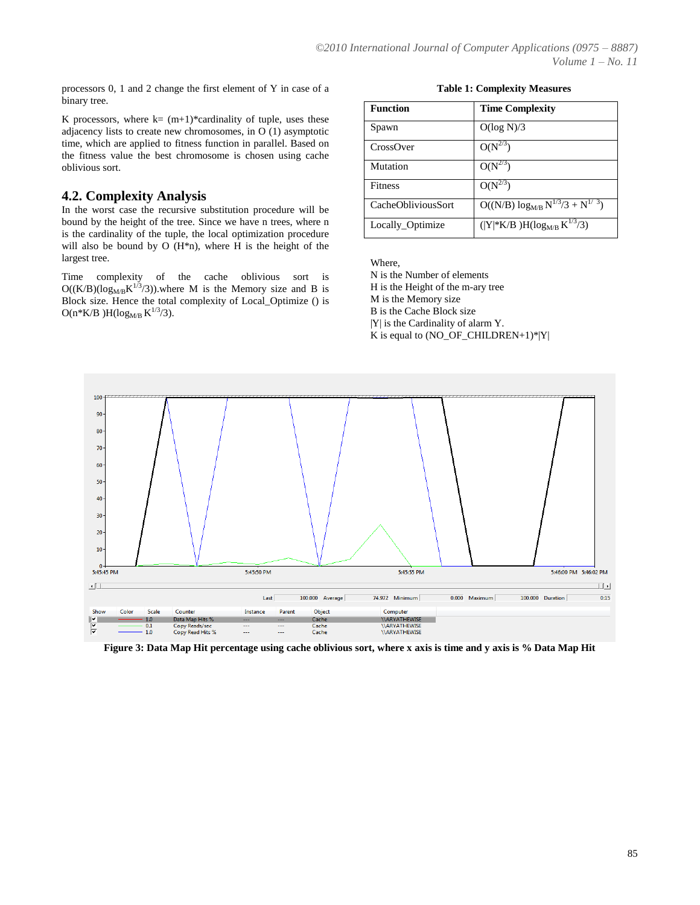processors 0, 1 and 2 change the first element of Y in case of a binary tree.

K processors, where  $k = (m+1)$ <sup>\*</sup>cardinality of tuple, uses these adjacency lists to create new chromosomes, in O (1) asymptotic time, which are applied to fitness function in parallel. Based on the fitness value the best chromosome is chosen using cache oblivious sort.

### **4.2. Complexity Analysis**

In the worst case the recursive substitution procedure will be bound by the height of the tree. Since we have n trees, where n is the cardinality of the tuple, the local optimization procedure will also be bound by O  $(H<sup>*</sup>n)$ , where H is the height of the largest tree.

Time complexity of the cache oblivious sort is  $O((K/B)(log_{MB} K^{1/3}/3))$ . where M is the Memory size and B is Block size. Hence the total complexity of Local\_Optimize () is  $O(n*K/B)H(log_{M/B} K^{1/3}/3).$ 

**Table 1: Complexity Measures**

| <b>Function</b>    | <b>Time Complexity</b>                    |
|--------------------|-------------------------------------------|
| Spawn              | O(log N)/3                                |
| CrossOver          | $O(N^{2/3})$                              |
| Mutation           | $O(N^{2/3})$                              |
| <b>Fitness</b>     | $O(N^{2/3})$                              |
| CacheObliviousSort | $O((N/B) \log_{M/B} N^{1/3}/3 + N^{1/3})$ |
| Locally_Optimize   | $( Y *K/B)H(log_{MB} K^{1/3}/3)$          |

Where,

N is the Number of elements H is the Height of the m-ary tree M is the Memory size B is the Cache Block size |Y| is the Cardinality of alarm Y. K is equal to  $(NO_OF_CHILDREN+1)*|Y|$ 



**Figure 3: Data Map Hit percentage using cache oblivious sort, where x axis is time and y axis is % Data Map Hit**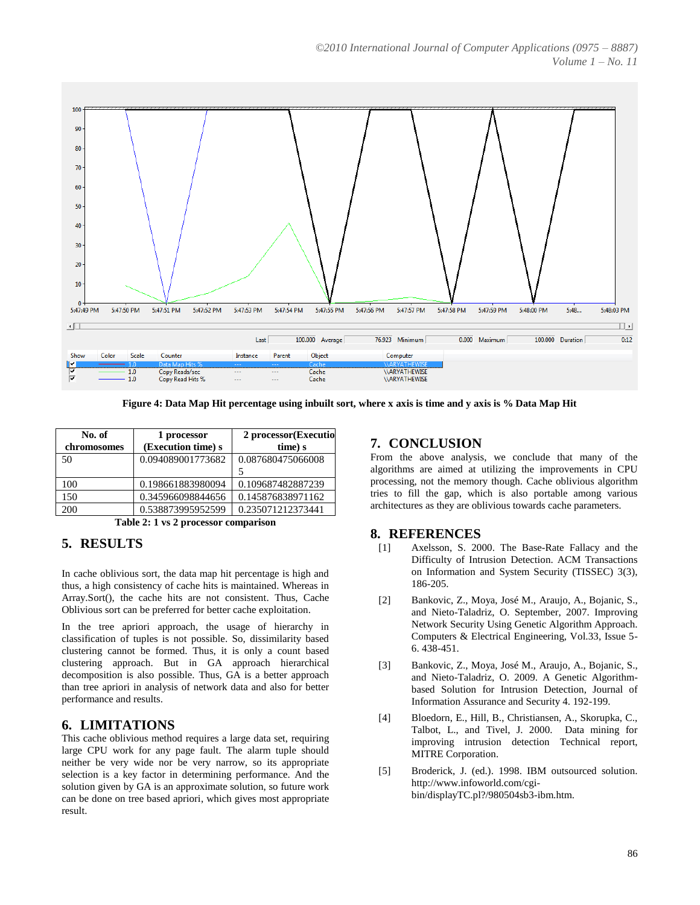

**Figure 4: Data Map Hit percentage using inbuilt sort, where x axis is time and y axis is % Data Map Hit**

| No. of      | 1 processor        | 2 processor (Executio |
|-------------|--------------------|-----------------------|
| chromosomes | (Execution time) s | time) s               |
| 50          | 0.094089001773682  | 0.087680475066008     |
|             |                    |                       |
| 100         | 0.198661883980094  | 0.109687482887239     |
| 150         | 0.345966098844656  | 0.145876838971162     |
| 200         | 0.538873995952599  | 0.235071212373441     |

**Table 2: 1 vs 2 processor comparison**

# **5. RESULTS**

In cache oblivious sort, the data map hit percentage is high and thus, a high consistency of cache hits is maintained. Whereas in Array.Sort(), the cache hits are not consistent. Thus, Cache Oblivious sort can be preferred for better cache exploitation.

In the tree apriori approach, the usage of hierarchy in classification of tuples is not possible. So, dissimilarity based clustering cannot be formed. Thus, it is only a count based clustering approach. But in GA approach hierarchical decomposition is also possible. Thus, GA is a better approach than tree apriori in analysis of network data and also for better performance and results.

# **6. LIMITATIONS**

This cache oblivious method requires a large data set, requiring large CPU work for any page fault. The alarm tuple should neither be very wide nor be very narrow, so its appropriate selection is a key factor in determining performance. And the solution given by GA is an approximate solution, so future work can be done on tree based apriori, which gives most appropriate result.

### **7. CONCLUSION**

From the above analysis, we conclude that many of the algorithms are aimed at utilizing the improvements in CPU processing, not the memory though. Cache oblivious algorithm tries to fill the gap, which is also portable among various architectures as they are oblivious towards cache parameters.

#### **8. REFERENCES**

- [1] Axelsson, S. 2000. The Base-Rate Fallacy and the Difficulty of Intrusion Detection. ACM Transactions on Information and System Security (TISSEC) 3(3), 186-205.
- [2] Bankovic, Z., Moya, José M., Araujo, A., Bojanic, S., and Nieto-Taladriz, O. September, 2007. Improving Network Security Using Genetic Algorithm Approach. Computers & Electrical Engineering, Vol.33, Issue 5- 6. 438-451.
- [3] Bankovic, Z., Moya, José M., Araujo, A., Bojanic, S., and Nieto-Taladriz, O. 2009. A Genetic Algorithmbased Solution for Intrusion Detection, Journal of Information Assurance and Security 4. 192-199.
- [4] Bloedorn, E., Hill, B., Christiansen, A., Skorupka, C., Talbot, L., and Tivel, J. 2000. Data mining for improving intrusion detection Technical report, MITRE Corporation.
- [5] Broderick, J. (ed.). 1998. IBM outsourced solution. http://www.infoworld.com/cgibin/displayTC.pl?/980504sb3-ibm.htm.